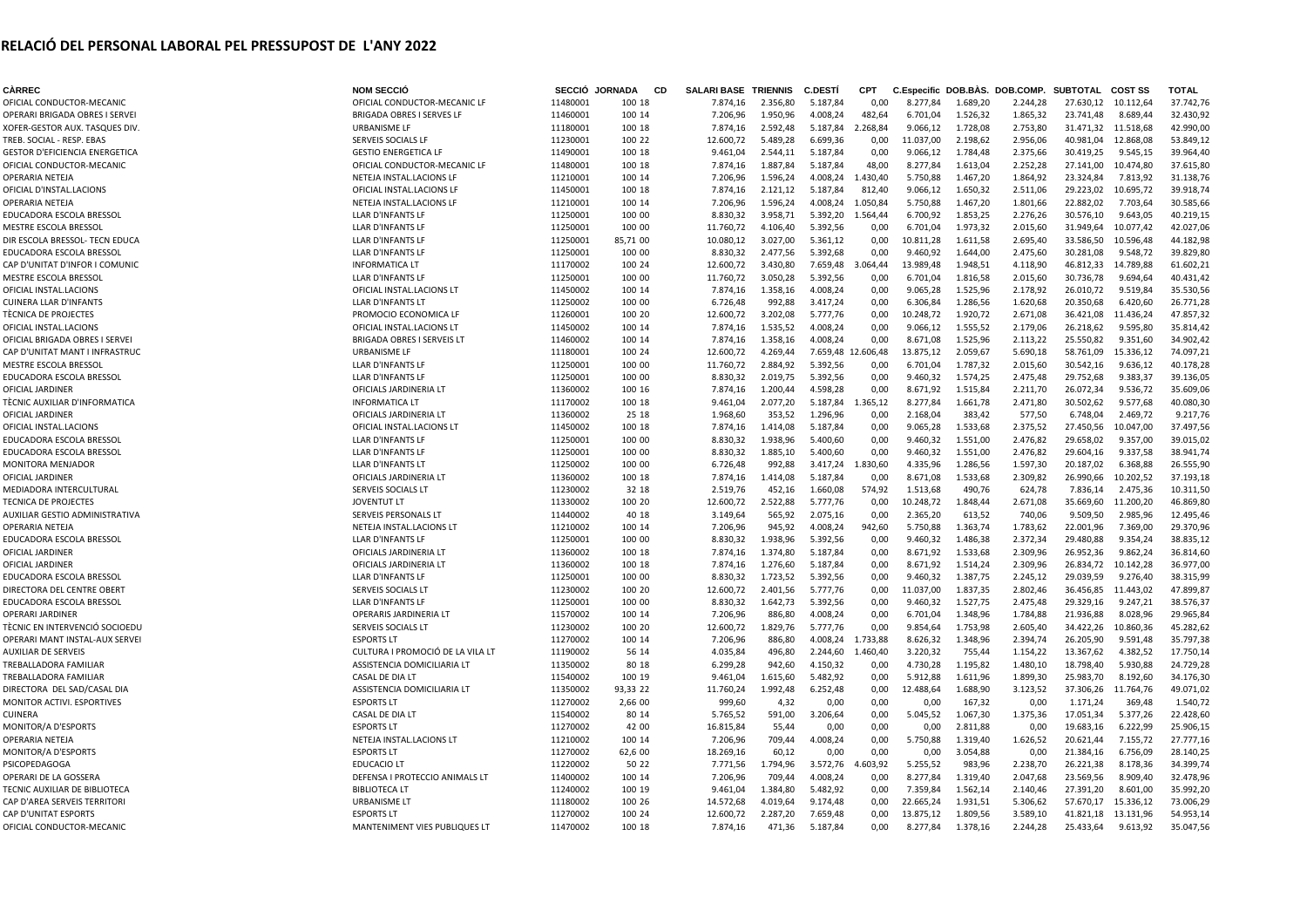## **RELACIÓ DEL PERSONAL LABORAL PEL PRESSUPOST DE L'ANY 2022**

| <b>CÀRREC</b>                         | <b>NOM SECCIÓ</b>                 |          | SECCIÓ JORNADA | <b>CD</b> | <b>SALARI BASE TRIENNIS</b> |          | <b>C.DESTI</b>     | <b>CPT</b> |           |          | C.Especific DOB.BAS. DOB.COMP. SUBTOTAL |           | <b>COST SS</b>      | <b>TOTAL</b> |
|---------------------------------------|-----------------------------------|----------|----------------|-----------|-----------------------------|----------|--------------------|------------|-----------|----------|-----------------------------------------|-----------|---------------------|--------------|
| OFICIAL CONDUCTOR-MECANIC             | OFICIAL CONDUCTOR-MECANIC LF      | 11480001 | 100 18         |           | 7.874,16                    | 2.356,80 | 5.187,84           | 0,00       | 8.277,84  | 1.689,20 | 2.244,28                                | 27.630,12 | 10.112,64           | 37.742,76    |
| OPERARI BRIGADA OBRES I SERVEI        | <b>BRIGADA OBRES I SERVES LF</b>  | 11460001 | 100 14         |           | 7.206,96                    | 1.950,96 | 4.008,24           | 482,64     | 6.701,04  | 1.526,32 | 1.865,32                                | 23.741,48 | 8.689,44            | 32.430,92    |
| XOFER-GESTOR AUX. TASQUES DIV.        | URBANISME LF                      | 11180001 | 100 18         |           | 7.874,16                    | 2.592,48 | 5.187,84           | 2.268,84   | 9.066,12  | 1.728,08 | 2.753,80                                |           | 31.471,32 11.518,68 | 42.990,00    |
| TREB. SOCIAL - RESP. EBAS             | SERVEIS SOCIALS LF                | 11230001 | 100 22         |           | 12.600,72                   | 5.489,28 | 6.699,36           | 0,00       | 11.037,00 | 2.198,62 | 2.956,06                                | 40.981,04 | 12.868,08           | 53.849,12    |
| <b>GESTOR D'EFICIENCIA ENERGETICA</b> | <b>GESTIO ENERGETICA LF</b>       | 11490001 | 100 18         |           | 9.461,04                    | 2.544,11 | 5.187,84           | 0,00       | 9.066,12  | 1.784,48 | 2.375,66                                | 30.419,25 | 9.545,15            | 39.964,40    |
| OFICIAL CONDUCTOR-MECANIC             | OFICIAL CONDUCTOR-MECANIC LF      | 11480001 | 100 18         |           | 7.874,16                    | 1.887,84 | 5.187,84           | 48,00      | 8.277,84  | 1.613,04 | 2.252,28                                | 27.141,00 | 10.474,80           | 37.615,80    |
| OPERARIA NETEJA                       | NETEJA INSTAL.LACIONS LF          | 11210001 | 100 14         |           | 7.206,96                    | 1.596,24 | 4.008,24           | 1.430,40   | 5.750,88  | 1.467,20 | 1.864,92                                | 23.324,84 | 7.813,92            | 31.138,76    |
| OFICIAL D'INSTAL.LACIONS              | OFICIAL INSTAL.LACIONS LF         | 11450001 | 100 18         |           | 7.874,16                    | 2.121,12 | 5.187,84           | 812,40     | 9.066,12  | 1.650,32 | 2.511,06                                | 29.223,02 | 10.695,72           | 39.918,74    |
| OPERARIA NETEJA                       | NETEJA INSTAL.LACIONS LF          | 11210001 | 100 14         |           | 7.206,96                    | 1.596,24 | 4.008,24           | 1.050,84   | 5.750,88  | 1.467,20 | 1.801,66                                | 22.882,02 | 7.703,64            | 30.585,66    |
| EDUCADORA ESCOLA BRESSOL              | LLAR D'INFANTS LF                 | 11250001 | 100 00         |           | 8.830,32                    | 3.958,71 | 5.392,20           | 1.564,44   | 6.700,92  | 1.853,25 | 2.276,26                                | 30.576,10 | 9.643,05            | 40.219,15    |
|                                       |                                   |          |                |           |                             |          |                    |            |           |          |                                         |           |                     |              |
| MESTRE ESCOLA BRESSOL                 | LLAR D'INFANTS LF                 | 11250001 | 100 00         |           | 11.760,72                   | 4.106,40 | 5.392,56           | 0,00       | 6.701,04  | 1.973,32 | 2.015,60                                | 31.949,64 | 10.077,42           | 42.027,06    |
| DIR ESCOLA BRESSOL- TECN EDUCA        | LLAR D'INFANTS LF                 | 11250001 | 85,71 00       |           | 10.080,12                   | 3.027,00 | 5.361,12           | 0,00       | 10.811,28 | 1.611,58 | 2.695,40                                | 33.586,50 | 10.596,48           | 44.182,98    |
| EDUCADORA ESCOLA BRESSOI              | LLAR D'INFANTS LF                 | 11250001 | 100 00         |           | 8.830,32                    | 2.477,56 | 5.392,68           | 0,00       | 9.460,92  | 1.644,00 | 2.475,60                                | 30.281,08 | 9.548,72            | 39.829,80    |
| CAP D'UNITAT D'INFOR I COMUNIC        | <b>INFORMATICA LT</b>             | 11170002 | 100 24         |           | 12.600,72                   | 3.430,80 | 7.659,48           | 3.064,44   | 13.989,48 | 1.948,51 | 4.118,90                                | 46.812,33 | 14.789,88           | 61.602,21    |
| <b>MESTRE ESCOLA BRESSOL</b>          | LLAR D'INFANTS LF                 | 11250001 | 100 00         |           | 11.760,72                   | 3.050,28 | 5.392,56           | 0,00       | 6.701,04  | 1.816,58 | 2.015,60                                | 30.736,78 | 9.694,64            | 40.431,42    |
| OFICIAL INSTAL.LACIONS                | OFICIAL INSTAL.LACIONS LT         | 11450002 | 100 14         |           | 7.874,16                    | 1.358,16 | 4.008,24           | 0,00       | 9.065,28  | 1.525,96 | 2.178,92                                | 26.010,72 | 9.519,84            | 35.530,56    |
| <b>CUINERA LLAR D'INFANTS</b>         | <b>LLAR D'INFANTS LT</b>          | 11250002 | 100 00         |           | 6.726,48                    | 992,88   | 3.417,24           | 0,00       | 6.306,84  | 1.286,56 | 1.620,68                                | 20.350,68 | 6.420,60            | 26.771,28    |
| TÈCNICA DE PROJECTES                  | PROMOCIO ECONOMICA LF             | 11260001 | 100 20         |           | 12.600,72                   | 3.202,08 | 5.777,76           | 0,00       | 10.248,72 | 1.920,72 | 2.671,08                                | 36.421,08 | 11.436,24           | 47.857,32    |
| OFICIAL INSTAL.LACIONS                | OFICIAL INSTAL.LACIONS LT         | 11450002 | 100 14         |           | 7.874,16                    | 1.535,52 | 4.008,24           | 0,00       | 9.066,12  | 1.555,52 | 2.179,06                                | 26.218,62 | 9.595,80            | 35.814,42    |
| OFICIAL BRIGADA OBRES I SERVEI        | <b>BRIGADA OBRES I SERVEIS LT</b> | 11460002 | 100 14         |           | 7.874,16                    | 1.358,16 | 4.008,24           | 0,00       | 8.671,08  | 1.525,96 | 2.113,22                                | 25.550,82 | 9.351,60            | 34.902,42    |
| CAP D'UNITAT MANT I INFRASTRUC        | <b>URBANISME LF</b>               | 11180001 | 100 24         |           | 12.600,72                   | 4.269,44 | 7.659,48 12.606,48 |            | 13.875,12 | 2.059,67 | 5.690,18                                | 58.761,09 | 15.336,12           | 74.097,21    |
| MESTRE ESCOLA BRESSOL                 | LLAR D'INFANTS LF                 | 11250001 | 100 00         |           | 11.760,72                   | 2.884,92 | 5.392,56           | 0,00       | 6.701,04  | 1.787,32 | 2.015,60                                | 30.542,16 | 9.636,12            | 40.178,28    |
| EDUCADORA ESCOLA BRESSOL              | LLAR D'INFANTS LF                 | 11250001 | 100 00         |           | 8.830,32                    | 2.019,75 | 5.392,56           | 0,00       | 9.460,32  | 1.574,25 | 2.475,48                                | 29.752,68 | 9.383,37            | 39.136,05    |
| OFICIAL JARDINER                      | OFICIALS JARDINERIA LT            | 11360002 | 100 16         |           | 7.874,16                    | 1.200,44 | 4.598,28           | 0,00       | 8.671,92  | 1.515,84 | 2.211,70                                | 26.072,34 | 9.536,72            | 35.609,06    |
| TÈCNIC AUXILIAR D'INFORMATICA         | <b>INFORMATICA LT</b>             | 11170002 | 100 18         |           | 9.461,04                    | 2.077,20 | 5.187,84           | 1.365,12   | 8.277,84  | 1.661,78 | 2.471,80                                | 30.502,62 | 9.577,68            | 40.080,30    |
| OFICIAL JARDINER                      | OFICIALS JARDINERIA LT            | 11360002 | 25 18          |           | 1.968,60                    | 353,52   | 1.296,96           | 0,00       | 2.168,04  | 383,42   | 577,50                                  | 6.748,04  | 2.469,72            | 9.217,76     |
| OFICIAL INSTAL.LACIONS                | OFICIAL INSTAL.LACIONS LT         | 11450002 | 100 18         |           |                             | 1.414,08 | 5.187,84           |            | 9.065,28  | 1.533,68 | 2.375,52                                | 27.450,56 | 10.047,00           | 37.497,56    |
| EDUCADORA ESCOLA BRESSOL              |                                   |          |                |           | 7.874,16                    |          |                    | 0,00       |           |          |                                         |           |                     |              |
|                                       | LLAR D'INFANTS LF                 | 11250001 | 100 00         |           | 8.830,32                    | 1.938,96 | 5.400,60           | 0,00       | 9.460,32  | 1.551,00 | 2.476,82                                | 29.658,02 | 9.357,00            | 39.015,02    |
| EDUCADORA ESCOLA BRESSOI              | LLAR D'INFANTS LF                 | 11250001 | 100 00         |           | 8.830,32                    | 1.885,10 | 5.400,60           | 0,00       | 9.460,32  | 1.551,00 | 2.476,82                                | 29.604,16 | 9.337,58            | 38.941,74    |
| MONITORA MENJADOR                     | LLAR D'INFANTS LT                 | 11250002 | 100 00         |           | 6.726,48                    | 992,88   | 3.417,24           | 1.830,60   | 4.335,96  | 1.286,56 | 1.597,30                                | 20.187,02 | 6.368,88            | 26.555,90    |
| OFICIAL JARDINER                      | OFICIALS JARDINERIA LT            | 11360002 | 100 18         |           | 7.874,16                    | 1.414,08 | 5.187,84           | 0,00       | 8.671,08  | 1.533,68 | 2.309,82                                | 26.990,66 | 10.202,52           | 37.193,18    |
| MEDIADORA INTERCULTURAL               | SERVEIS SOCIALS LT                | 11230002 | 32 18          |           | 2.519,76                    | 452,16   | 1.660,08           | 574,92     | 1.513,68  | 490,76   | 624,78                                  | 7.836,14  | 2.475,36            | 10.311,50    |
| <b>TECNICA DE PROJECTES</b>           | <b>JOVENTUT LT</b>                | 11330002 | 100 20         |           | 12.600,72                   | 2.522,88 | 5.777,76           | 0,00       | 10.248,72 | 1.848,44 | 2.671,08                                | 35.669,60 | 11.200,20           | 46.869,80    |
| AUXILIAR GESTIO ADMINISTRATIVA        | SERVEIS PERSONALS LT              | 11440002 | 40 18          |           | 3.149,64                    | 565,92   | 2.075,16           | 0,00       | 2.365,20  | 613,52   | 740,06                                  | 9.509,50  | 2.985,96            | 12.495,46    |
| OPERARIA NETEJA                       | NETEJA INSTAL.LACIONS LT          | 11210002 | 100 14         |           | 7.206,96                    | 945,92   | 4.008,24           | 942,60     | 5.750,88  | 1.363,74 | 1.783,62                                | 22.001,96 | 7.369,00            | 29.370,96    |
| EDUCADORA ESCOLA BRESSOL              | LLAR D'INFANTS LF                 | 11250001 | 100 00         |           | 8.830,32                    | 1.938,96 | 5.392,56           | 0,00       | 9.460,32  | 1.486,38 | 2.372,34                                | 29.480,88 | 9.354,24            | 38.835,12    |
| OFICIAL JARDINER                      | OFICIALS JARDINERIA LT            | 11360002 | 100 18         |           | 7.874,16                    | 1.374,80 | 5.187,84           | 0,00       | 8.671,92  | 1.533,68 | 2.309,96                                | 26.952,36 | 9.862,24            | 36.814,60    |
| OFICIAL JARDINER                      | OFICIALS JARDINERIA LT            | 11360002 | 100 18         |           | 7.874,16                    | 1.276,60 | 5.187,84           | 0,00       | 8.671,92  | 1.514,24 | 2.309,96                                | 26.834,72 | 10.142,28           | 36.977,00    |
| EDUCADORA ESCOLA BRESSOL              | LLAR D'INFANTS LF                 | 11250001 | 100 00         |           | 8.830,32                    | 1.723,52 | 5.392,56           | 0,00       | 9.460,32  | 1.387,75 | 2.245,12                                | 29.039,59 | 9.276,40            | 38.315,99    |
| DIRECTORA DEL CENTRE OBERT            | SERVEIS SOCIALS LT                | 11230002 | 100 20         |           | 12.600,72                   | 2.401,56 | 5.777,76           | 0,00       | 11.037,00 | 1.837,35 | 2.802,46                                | 36.456,85 | 11.443,02           | 47.899,87    |
| EDUCADORA ESCOLA BRESSOL              | LLAR D'INFANTS LF                 | 11250001 | 100 00         |           | 8.830,32                    | 1.642,73 | 5.392,56           | 0,00       | 9.460,32  | 1.527,75 | 2.475,48                                | 29.329,16 | 9.247,21            | 38.576,37    |
| <b>OPERARI JARDINER</b>               | OPERARIS JARDINERIA LT            | 11570002 | 100 14         |           | 7.206,96                    | 886,80   | 4.008,24           | 0,00       | 6.701,04  | 1.348,96 | 1.784,88                                | 21.936,88 | 8.028,96            | 29.965,84    |
| TÈCNIC EN INTERVENCIÓ SOCIOEDU        | SERVEIS SOCIALS LT                | 11230002 | 100 20         |           | 12.600,72                   | 1.829,76 | 5.777,76           | 0,00       | 9.854,64  | 1.753,98 | 2.605,40                                | 34.422,26 | 10.860,36           | 45.282,62    |
| OPERARI MANT INSTAL-AUX SERVEI        | <b>ESPORTS LT</b>                 | 11270002 | 100 14         |           | 7.206,96                    | 886,80   | 4.008,24           | 1.733,88   | 8.626,32  | 1.348,96 | 2.394,74                                | 26.205,90 | 9.591,48            | 35.797,38    |
| <b>AUXILIAR DE SERVEIS</b>            | CULTURA I PROMOCIÓ DE LA VILA LT  | 11190002 | 56 14          |           | 4.035,84                    | 496,80   | 2.244,60           | 1.460,40   | 3.220,32  | 755,44   | 1.154,22                                | 13.367,62 | 4.382,52            | 17.750,14    |
| TREBALLADORA FAMILIAR                 | ASSISTENCIA DOMICILIARIA LT       | 11350002 | 80 18          |           |                             | 942,60   | 4.150,32           |            | 4.730,28  | 1.195,82 | 1.480,10                                | 18.798,40 | 5.930,88            | 24.729,28    |
|                                       |                                   |          |                |           | 6.299,28                    |          |                    | 0,00       |           |          |                                         |           |                     |              |
| TREBALLADORA FAMILIAR                 | CASAL DE DIA LT                   | 11540002 | 100 19         |           | 9.461,04                    | 1.615,60 | 5.482,92           | 0,00       | 5.912,88  | 1.611,96 | 1.899,30                                | 25.983,70 | 8.192,60            | 34.176,30    |
| DIRECTORA DEL SAD/CASAL DIA           | ASSISTENCIA DOMICILIARIA LT       | 11350002 | 93,33 22       |           | 11.760,24                   | 1.992,48 | 6.252,48           | 0,00       | 12.488,64 | 1.688,90 | 3.123,52                                | 37.306,26 | 11.764,76           | 49.071,02    |
| MONITOR ACTIVI. ESPORTIVES            | <b>ESPORTS LT</b>                 | 11270002 | 2,66 00        |           | 999,60                      | 4,32     | 0,00               | 0,00       | 0,00      | 167,32   | 0,00                                    | 1.171,24  | 369,48              | 1.540,72     |
| <b>CUINERA</b>                        | CASAL DE DIA LT                   | 11540002 | 80 14          |           | 5.765,52                    | 591,00   | 3.206,64           | 0,00       | 5.045,52  | 1.067,30 | 1.375,36                                | 17.051,34 | 5.377,26            | 22.428,60    |
| MONITOR/A D'ESPORTS                   | <b>ESPORTS LT</b>                 | 11270002 | 42 00          |           | 16.815,84                   | 55,44    | 0,00               | 0,00       | 0,00      | 2.811,88 | 0,00                                    | 19.683,16 | 6.222,99            | 25.906,15    |
| OPERARIA NETEJA                       | NETEJA INSTAL.LACIONS LT          | 11210002 | 100 14         |           | 7.206,96                    | 709,44   | 4.008,24           | 0,00       | 5.750,88  | 1.319,40 | 1.626,52                                | 20.621,44 | 7.155,72            | 27.777,16    |
| MONITOR/A D'ESPORTS                   | <b>ESPORTS LT</b>                 | 11270002 | 62,6 00        |           | 18.269,16                   | 60,12    | 0,00               | 0,00       | 0,00      | 3.054,88 | 0,00                                    | 21.384,16 | 6.756,09            | 28.140,25    |
| PSICOPEDAGOGA                         | <b>EDUCACIO LT</b>                | 11220002 | 50 22          |           | 7.771,56                    | 1.794,96 | 3.572,76           | 4.603,92   | 5.255,52  | 983,96   | 2.238,70                                | 26.221,38 | 8.178,36            | 34.399,74    |
| OPERARI DE LA GOSSERA                 | DEFENSA I PROTECCIO ANIMALS LT    | 11400002 | 100 14         |           | 7.206,96                    | 709,44   | 4.008,24           | 0,00       | 8.277,84  | 1.319,40 | 2.047,68                                | 23.569,56 | 8.909,40            | 32.478,96    |
| TECNIC AUXILIAR DE BIBLIOTECA         | <b>BIBLIOTECA LT</b>              | 11240002 | 100 19         |           | 9.461,04                    | 1.384,80 | 5.482,92           | 0,00       | 7.359,84  | 1.562,14 | 2.140,46                                | 27.391,20 | 8.601,00            | 35.992,20    |
| CAP D'AREA SERVEIS TERRITORI          | <b>URBANISME LT</b>               | 11180002 | 100 26         |           | 14.572,68                   | 4.019,64 | 9.174,48           | 0,00       | 22.665,24 | 1.931,51 | 5.306,62                                | 57.670,17 | 15.336,12           | 73.006,29    |
| CAP D'UNITAT ESPORTS                  | <b>ESPORTS LT</b>                 | 11270002 | 100 24         |           | 12.600,72                   | 2.287,20 | 7.659,48           | 0,00       | 13.875,12 | 1.809,56 | 3.589,10                                | 41.821,18 | 13.131,96           | 54.953,14    |
| OFICIAL CONDUCTOR-MECANIC             | MANTENIMENT VIES PUBLIQUES LT     | 11470002 | 100 18         |           | 7.874,16                    | 471,36   | 5.187,84           | 0,00       | 8.277,84  | 1.378,16 | 2.244,28                                | 25.433,64 | 9.613,92            | 35.047,56    |
|                                       |                                   |          |                |           |                             |          |                    |            |           |          |                                         |           |                     |              |